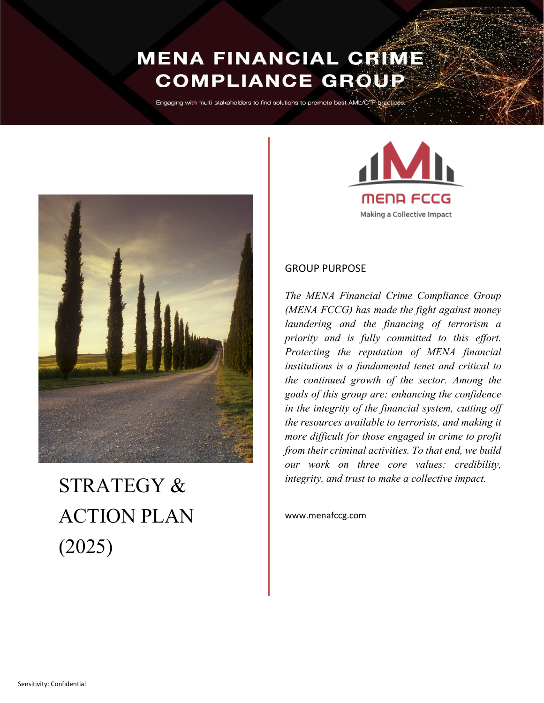## **MENA FINANCIAL CRIME COMPLIANCE GROUP**

Engaging with multi-stakeholders to find solutions to promote best AML/CTF pract



# STRATEGY & ACTION PLAN (2025)



## GROUP PURPOSE

*The MENA Financial Crime Compliance Group (MENA FCCG) has made the fight against money laundering and the financing of terrorism a priority and is fully committed to this effort. Protecting the reputation of MENA financial institutions is a fundamental tenet and critical to the continued growth of the sector. Among the goals of this group are: enhancing the confidence in the integrity of the financial system, cutting off the resources available to terrorists, and making it more difficult for those engaged in crime to profit from their criminal activities. To that end, we build our work on three core values: credibility, integrity, and trust to make a collective impact.*

www.menafccg.com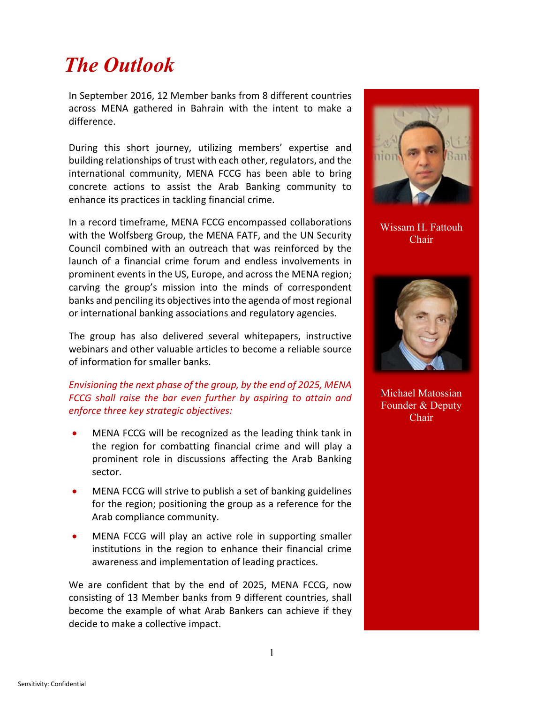## *The Outlook*

In September 2016, 12 Member banks from 8 different countries across MENA gathered in Bahrain with the intent to make a difference.

During this short journey, utilizing members' expertise and building relationships of trust with each other, regulators, and the international community, MENA FCCG has been able to bring concrete actions to assist the Arab Banking community to enhance its practices in tackling financial crime.

In a record timeframe, MENA FCCG encompassed collaborations with the Wolfsberg Group, the MENA FATF, and the UN Security Council combined with an outreach that was reinforced by the launch of a financial crime forum and endless involvements in prominent events in the US, Europe, and across the MENA region; carving the group's mission into the minds of correspondent banks and penciling its objectives into the agenda of most regional or international banking associations and regulatory agencies.

The group has also delivered several whitepapers, instructive webinars and other valuable articles to become a reliable source of information for smaller banks.

### *Envisioning the next phase of the group, by the end of 2025, MENA FCCG shall raise the bar even further by aspiring to attain and enforce three key strategic objectives:*

- MENA FCCG will be recognized as the leading think tank in the region for combatting financial crime and will play a prominent role in discussions affecting the Arab Banking sector.
- MENA FCCG will strive to publish a set of banking guidelines for the region; positioning the group as a reference for the Arab compliance community.
- MENA FCCG will play an active role in supporting smaller institutions in the region to enhance their financial crime awareness and implementation of leading practices.

We are confident that by the end of 2025, MENA FCCG, now consisting of 13 Member banks from 9 different countries, shall become the example of what Arab Bankers can achieve if they decide to make a collective impact.



Wissam H. Fattouh Chair



Michael Matossian Founder & Deputy Chair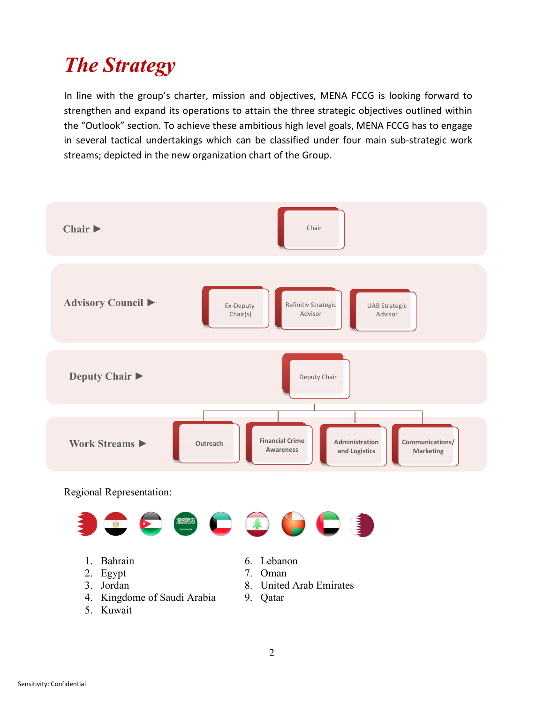## *The Strategy*

In line with the group's charter, mission and objectives, MENA FCCG is looking forward to strengthen and expand its operations to attain the three strategic objectives outlined within the "Outlook" section. To achieve these ambitious high level goals, MENA FCCG has to engage in several tactical undertakings which can be classified under four main sub-strategic work streams; depicted in the new organization chart of the Group.

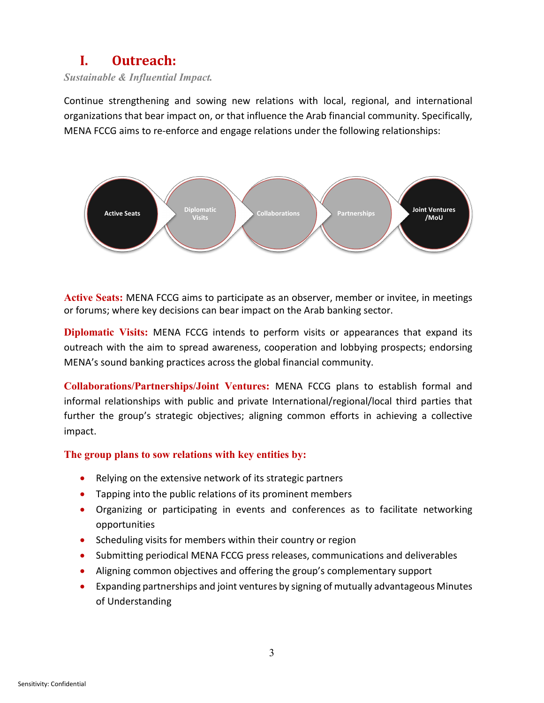## **I. Outreach:**

*Sustainable & Influential Impact.*

Continue strengthening and sowing new relations with local, regional, and international organizations that bear impact on, or that influence the Arab financial community. Specifically, MENA FCCG aims to re-enforce and engage relations under the following relationships:



**Active Seats:** MENA FCCG aims to participate as an observer, member or invitee, in meetings or forums; where key decisions can bear impact on the Arab banking sector.

**Diplomatic Visits:** MENA FCCG intends to perform visits or appearances that expand its outreach with the aim to spread awareness, cooperation and lobbying prospects; endorsing MENA's sound banking practices across the global financial community.

**Collaborations/Partnerships/Joint Ventures:** MENA FCCG plans to establish formal and informal relationships with public and private International/regional/local third parties that further the group's strategic objectives; aligning common efforts in achieving a collective impact.

## **The group plans to sow relations with key entities by:**

- Relying on the extensive network of its strategic partners
- Tapping into the public relations of its prominent members
- Organizing or participating in events and conferences as to facilitate networking opportunities
- Scheduling visits for members within their country or region
- Submitting periodical MENA FCCG press releases, communications and deliverables
- Aligning common objectives and offering the group's complementary support
- Expanding partnerships and joint ventures by signing of mutually advantageous Minutes of Understanding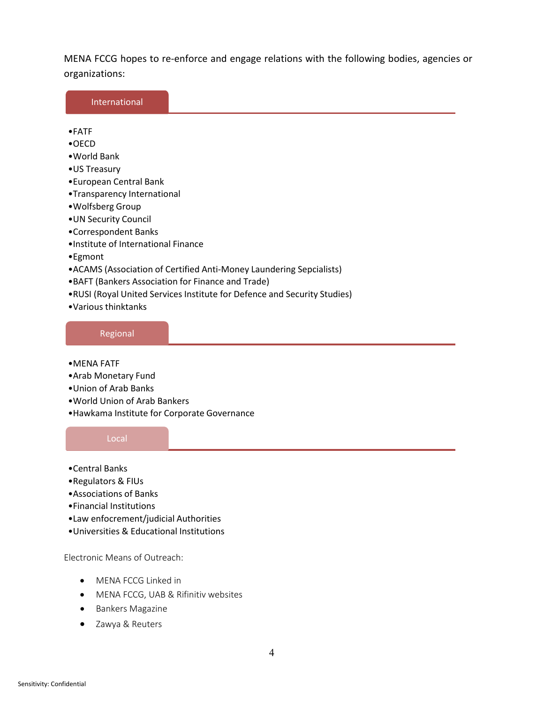MENA FCCG hopes to re-enforce and engage relations with the following bodies, agencies or organizations:

| International                        |                                                                      |
|--------------------------------------|----------------------------------------------------------------------|
|                                      |                                                                      |
| $\bullet$ FATF                       |                                                                      |
| $\bullet$ OECD                       |                                                                      |
| • World Bank                         |                                                                      |
| •US Treasury                         |                                                                      |
| •European Central Bank               |                                                                      |
| •Transparency International          |                                                                      |
| • Wolfsberg Group                    |                                                                      |
| • UN Security Council                |                                                                      |
| •Correspondent Banks                 |                                                                      |
| . Institute of International Finance |                                                                      |
| $\bullet$ Egmont                     |                                                                      |
|                                      | • ACAMS (Association of Certified Anti-Money Laundering Sepcialists) |

- •BAFT (Bankers Association for Finance and Trade)
- •RUSI (Royal United Services Institute for Defence and Security Studies)
- •Various thinktanks

#### Regional

- •MENA FATF
- •Arab Monetary Fund
- •Union of Arab Banks
- •World Union of Arab Bankers
- •Hawkama Institute for Corporate Governance

#### Local

- •Central Banks
- •Regulators & FIUs
- •Associations of Banks
- •Financial Institutions
- •Law enfocrement/judicial Authorities
- •Universities & Educational Institutions

Electronic Means of Outreach:

- MENA FCCG Linked in
- MENA FCCG, UAB & Rifinitiv websites
- Bankers Magazine
- Zawya & Reuters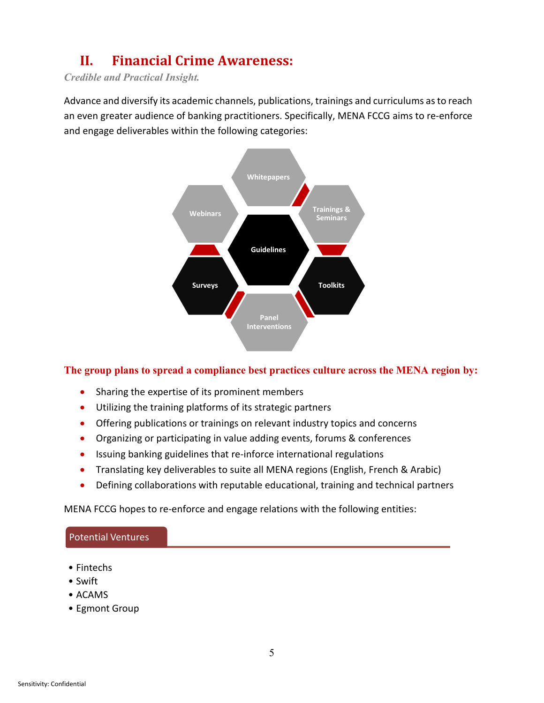## **II. Financial Crime Awareness:**

*Credible and Practical Insight.*

Advance and diversify its academic channels, publications, trainings and curriculums as to reach an even greater audience of banking practitioners. Specifically, MENA FCCG aims to re-enforce and engage deliverables within the following categories:



## **The group plans to spread a compliance best practices culture across the MENA region by:**

- Sharing the expertise of its prominent members
- Utilizing the training platforms of its strategic partners
- Offering publications or trainings on relevant industry topics and concerns
- Organizing or participating in value adding events, forums & conferences
- Issuing banking guidelines that re-inforce international regulations
- Translating key deliverables to suite all MENA regions (English, French & Arabic)
- Defining collaborations with reputable educational, training and technical partners

MENA FCCG hopes to re-enforce and engage relations with the following entities:

#### Potential Ventures

- Fintechs
- Swift
- ACAMS
- Egmont Group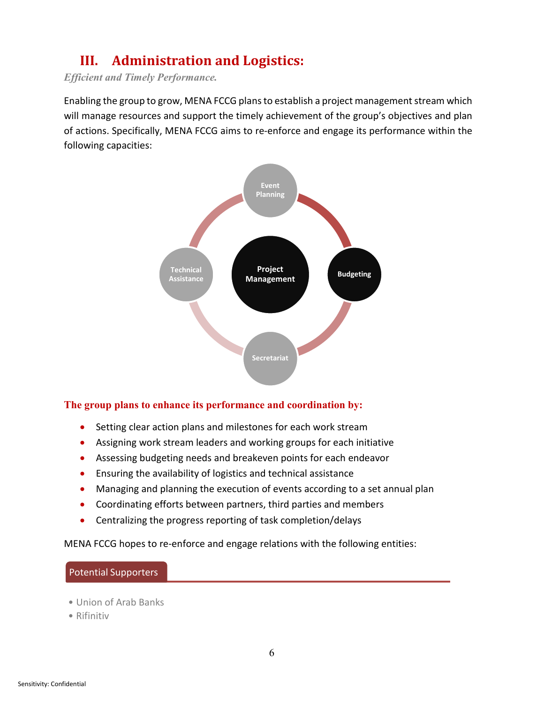## **III. Administration and Logistics:**

*Efficient and Timely Performance.*

Enabling the group to grow, MENA FCCG plans to establish a project management stream which will manage resources and support the timely achievement of the group's objectives and plan of actions. Specifically, MENA FCCG aims to re-enforce and engage its performance within the following capacities:



## **The group plans to enhance its performance and coordination by:**

- Setting clear action plans and milestones for each work stream
- Assigning work stream leaders and working groups for each initiative
- Assessing budgeting needs and breakeven points for each endeavor
- Ensuring the availability of logistics and technical assistance
- Managing and planning the execution of events according to a set annual plan
- Coordinating efforts between partners, third parties and members
- Centralizing the progress reporting of task completion/delays

MENA FCCG hopes to re-enforce and engage relations with the following entities:

#### Potential Supporters

- Union of Arab Banks
- Rifinitiv

6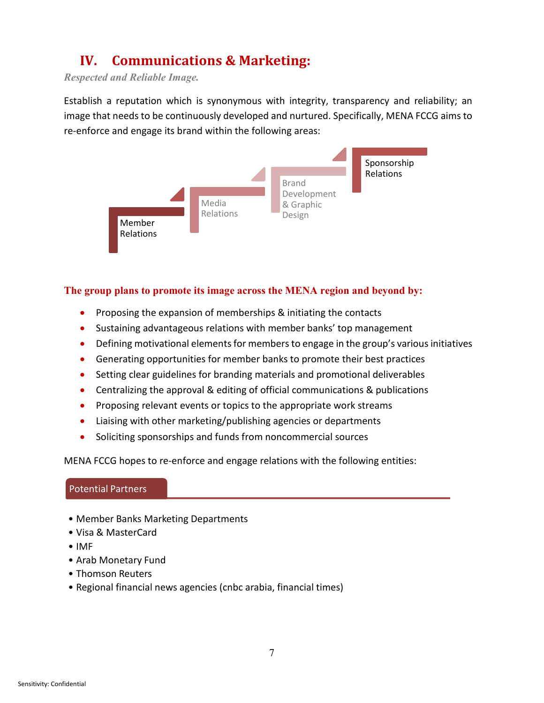## **IV. Communications & Marketing:**

*Respected and Reliable Image.*

Establish a reputation which is synonymous with integrity, transparency and reliability; an image that needs to be continuously developed and nurtured. Specifically, MENA FCCG aims to re-enforce and engage its brand within the following areas:



## **The group plans to promote its image across the MENA region and beyond by:**

- Proposing the expansion of memberships & initiating the contacts
- Sustaining advantageous relations with member banks' top management
- Defining motivational elements for members to engage in the group's various initiatives
- Generating opportunities for member banks to promote their best practices
- Setting clear guidelines for branding materials and promotional deliverables
- Centralizing the approval & editing of official communications & publications
- Proposing relevant events or topics to the appropriate work streams
- Liaising with other marketing/publishing agencies or departments
- Soliciting sponsorships and funds from noncommercial sources

MENA FCCG hopes to re-enforce and engage relations with the following entities:

## Potential Partners

- Member Banks Marketing Departments
- Visa & MasterCard
- IMF
- Arab Monetary Fund
- Thomson Reuters
- Regional financial news agencies (cnbc arabia, financial times)